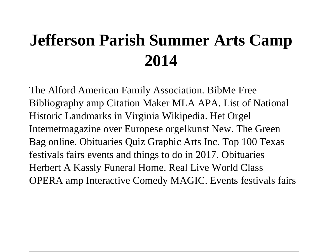# **Jefferson Parish Summer Arts Camp 2014**

The Alford American Family Association. BibMe Free Bibliography amp Citation Maker MLA APA. List of National Historic Landmarks in Virginia Wikipedia. Het Orgel Internetmagazine over Europese orgelkunst New. The Green Bag online. Obituaries Quiz Graphic Arts Inc. Top 100 Texas festivals fairs events and things to do in 2017. Obituaries Herbert A Kassly Funeral Home. Real Live World Class OPERA amp Interactive Comedy MAGIC. Events festivals fairs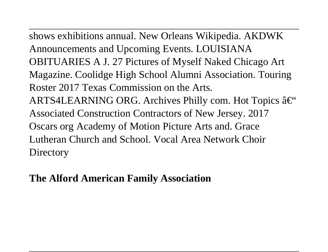shows exhibitions annual. New Orleans Wikipedia. AKDWK Announcements and Upcoming Events. LOUISIANA OBITUARIES A J. 27 Pictures of Myself Naked Chicago Art Magazine. Coolidge High School Alumni Association. Touring Roster 2017 Texas Commission on the Arts. ARTS4LEARNING ORG. Archives Philly com. Hot Topics  $\hat{a} \in \tilde{C}$ Associated Construction Contractors of New Jersey. 2017 Oscars org Academy of Motion Picture Arts and. Grace Lutheran Church and School. Vocal Area Network Choir **Directory** 

## **The Alford American Family Association**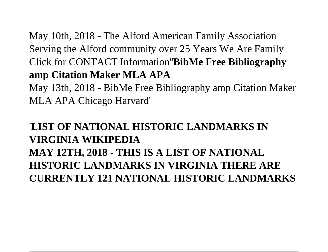May 10th, 2018 - The Alford American Family Association Serving the Alford community over 25 Years We Are Family Click for CONTACT Information''**BibMe Free Bibliography amp Citation Maker MLA APA**

May 13th, 2018 - BibMe Free Bibliography amp Citation Maker MLA APA Chicago Harvard'

# '**LIST OF NATIONAL HISTORIC LANDMARKS IN VIRGINIA WIKIPEDIA**

**MAY 12TH, 2018 - THIS IS A LIST OF NATIONAL HISTORIC LANDMARKS IN VIRGINIA THERE ARE CURRENTLY 121 NATIONAL HISTORIC LANDMARKS**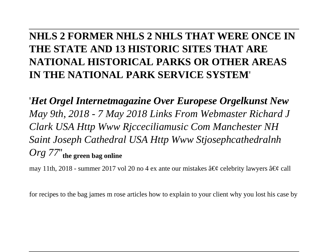# **NHLS 2 FORMER NHLS 2 NHLS THAT WERE ONCE IN THE STATE AND 13 HISTORIC SITES THAT ARE NATIONAL HISTORICAL PARKS OR OTHER AREAS IN THE NATIONAL PARK SERVICE SYSTEM**'

'*Het Orgel Internetmagazine Over Europese Orgelkunst New May 9th, 2018 - 7 May 2018 Links From Webmaster Richard J Clark USA Http Www Rjcceciliamusic Com Manchester NH Saint Joseph Cathedral USA Http Www Stjosephcathedralnh Org 77*''**the green bag online**

may 11th, 2018 - summer 2017 vol 20 no 4 ex ante our mistakes  $\hat{a} \in \mathcal{C}$  celebrity lawyers  $\hat{a} \in \mathcal{C}$  call

for recipes to the bag james m rose articles how to explain to your client why you lost his case by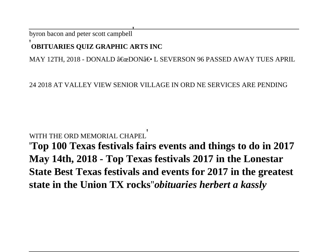byron bacon and peter scott campbell'

#### **OBITUARIES QUIZ GRAPHIC ARTS INC**

MAY 12TH, 2018 - DONALD "DON― L SEVERSON 96 PASSED AWAY TUES APRIL

24 2018 AT VALLEY VIEW SENIOR VILLAGE IN ORD NE SERVICES ARE PENDING

#### WITH THE ORD MEMORIAL CHAPEL

'**Top 100 Texas festivals fairs events and things to do in 2017 May 14th, 2018 - Top Texas festivals 2017 in the Lonestar State Best Texas festivals and events for 2017 in the greatest state in the Union TX rocks**''*obituaries herbert a kassly*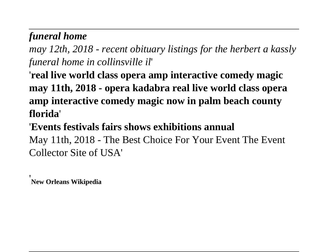# *funeral home*

*may 12th, 2018 - recent obituary listings for the herbert a kassly funeral home in collinsville il*'

'**real live world class opera amp interactive comedy magic may 11th, 2018 - opera kadabra real live world class opera amp interactive comedy magic now in palm beach county florida**'

'**Events festivals fairs shows exhibitions annual** May 11th, 2018 - The Best Choice For Your Event The Event Collector Site of USA'

'**New Orleans Wikipedia**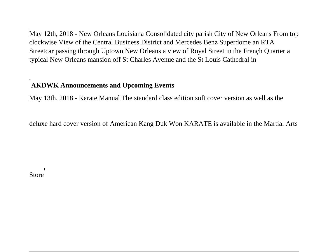May 12th, 2018 - New Orleans Louisiana Consolidated city parish City of New Orleans From top clockwise View of the Central Business District and Mercedes Benz Superdome an RTA Streetcar passing through Uptown New Orleans a view of Royal Street in the French Quarter a typical New Orleans mansion off St Charles Avenue and the St Louis Cathedral in'

## '**AKDWK Announcements and Upcoming Events**

May 13th, 2018 - Karate Manual The standard class edition soft cover version as well as the

deluxe hard cover version of American Kang Duk Won KARATE is available in the Martial Arts

Store'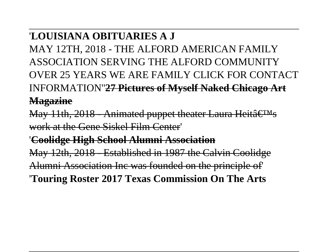# '**LOUISIANA OBITUARIES A J**

MAY 12TH, 2018 - THE ALFORD AMERICAN FAMILY ASSOCIATION SERVING THE ALFORD COMMUNITY OVER 25 YEARS WE ARE FAMILY CLICK FOR CONTACT INFORMATION''**27 Pictures of Myself Naked Chicago Art Magazine**

May 11th,  $2018$  - Animated puppet theater Laura Heitâ $\epsilon$ <sup>TM</sup>s work at the Gene Siskel Film Center'

'**Coolidge High School Alumni Association**

May 12th, 2018 - Established in 1987 the Calvin Coolidge Alumni Association Inc was founded on the principle of' '**Touring Roster 2017 Texas Commission On The Arts**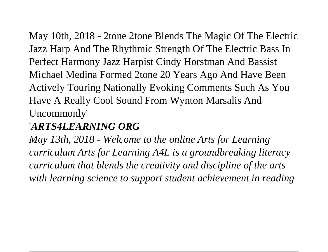May 10th, 2018 - 2tone 2tone Blends The Magic Of The Electric Jazz Harp And The Rhythmic Strength Of The Electric Bass In Perfect Harmony Jazz Harpist Cindy Horstman And Bassist Michael Medina Formed 2tone 20 Years Ago And Have Been Actively Touring Nationally Evoking Comments Such As You Have A Really Cool Sound From Wynton Marsalis And Uncommonly'

# '*ARTS4LEARNING ORG*

*May 13th, 2018 - Welcome to the online Arts for Learning curriculum Arts for Learning A4L is a groundbreaking literacy curriculum that blends the creativity and discipline of the arts with learning science to support student achievement in reading*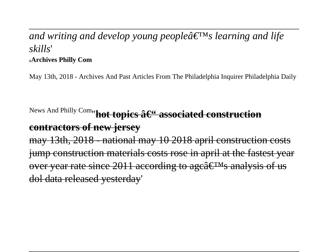## and writing and develop young people $\hat{a} \in \mathbb{R}^N$ s learning and life *skills*' '**Archives Philly Com**

May 13th, 2018 - Archives And Past Articles From The Philadelphia Inquirer Philadelphia Daily

News And Philly Com<sub>''</sub>**hot topics â**<sup>C"</sup> associated construction **contractors of new jersey** 3th, 2018 - national may 10 2018 april construction costs struction materials costs rose in april at the fastest year over year rate since 2011 according to age  $E^{TM}$ s analysis of us dol data released yesterday'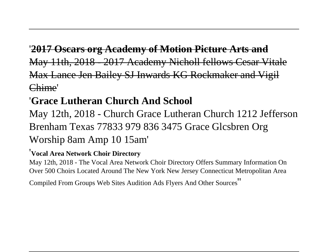# '**2017 Oscars org Academy of Motion Picture Arts and** May 11th, 2018 - 2017 Academy Nicholl fellows Cesar Vitale Max Lance Jen Bailey SJ Inwards KG Rockmaker and Vigil Chime'

# '**Grace Lutheran Church And School**

May 12th, 2018 - Church Grace Lutheran Church 1212 Jefferson Brenham Texas 77833 979 836 3475 Grace Glcsbren Org Worship 8am Amp 10 15am'

#### '**Vocal Area Network Choir Directory**

May 12th, 2018 - The Vocal Area Network Choir Directory Offers Summary Information On Over 500 Choirs Located Around The New York New Jersey Connecticut Metropolitan Area

Compiled From Groups Web Sites Audition Ads Flyers And Other Sources''